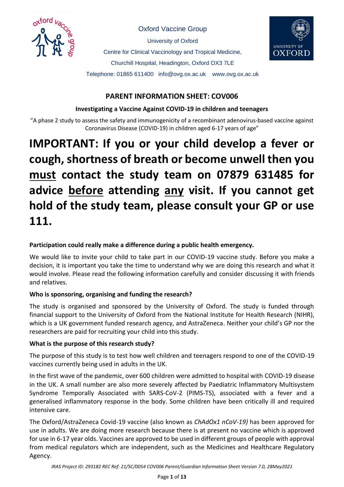

Oxford Vaccine Group

University of Oxford

Centre for Clinical Vaccinology and Tropical Medicine,



Churchill Hospital, Headington, Oxford OX3 7LE

Telephone: 01865 611400 info@ovg.ox.ac.uk www.ovg.ox.ac.uk

# **PARENT INFORMATION SHEET: COV006**

#### **Investigating a Vaccine Against COVID-19 in children and teenagers**

"A phase 2 study to assess the safety and immunogenicity of a recombinant adenovirus-based vaccine against Coronavirus Disease (COVID-19) in children aged 6-17 years of age"

# **IMPORTANT: If you or your child develop a fever or cough, shortness of breath or become unwell then you must contact the study team on 07879 631485 for advice before attending any visit. If you cannot get hold of the study team, please consult your GP or use 111.**

# **Participation could really make a difference during a public health emergency.**

We would like to invite your child to take part in our COVID-19 vaccine study. Before you make a decision, it is important you take the time to understand why we are doing this research and what it would involve. Please read the following information carefully and consider discussing it with friends and relatives.

# **Who is sponsoring, organising and funding the research?**

The study is organised and sponsored by the University of Oxford. The study is funded through financial support to the University of Oxford from the National Institute for Health Research (NIHR), which is a UK government funded research agency, and AstraZeneca. Neither your child's GP nor the researchers are paid for recruiting your child into this study.

# **What is the purpose of this research study?**

The purpose of this study is to test how well children and teenagers respond to one of the COVID-19 vaccines currently being used in adults in the UK.

In the first wave of the pandemic, over 600 children were admitted to hospital with COVID-19 disease in the UK. A small number are also more severely affected by Paediatric Inflammatory Multisystem Syndrome Temporally Associated with SARS-CoV-2 (PIMS-TS), associated with a fever and a generalised inflammatory response in the body. Some children have been critically ill and required intensive care.

The Oxford/AstraZeneca Covid-19 vaccine (also known as *ChAdOx1 nCoV-19)* has been approved for use in adults. We are doing more research because there is at present no vaccine which is approved for use in 6-17 year olds. Vaccines are approved to be used in different groups of people with approval from medical regulators which are independent, such as the Medicines and Healthcare Regulatory Agency.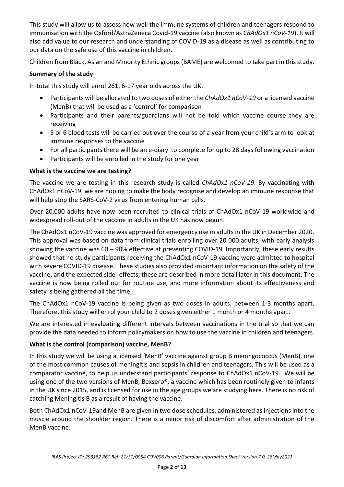This study will allow us to assess how well the immune systems of children and teenagers respond to immunisation with the Oxford/AstraZeneca Covid-19 vaccine (also known as *ChAdOx1 nCoV-19*). It will also add value to our research and understanding of COVID-19 as a disease as well as contributing to our data on the safe use of this vaccine in children.

Children from Black, Asian and Minority Ethnic groups (BAME) are welcomed to take part in this study.

## **Summary of the study**

In total this study will enrol 261, 6-17 year olds across the UK.

- Participants will be allocated to two doses of either the *ChAdOx1 nCoV-19* or a licensed vaccine (MenB) that will be used as a 'control' for comparison
- Participants and their parents/guardians will not be told which vaccine course they are receiving
- 5 or 6 blood tests will be carried out over the course of a year from your child's arm to look at immune responses to the vaccine
- For all participants there will be an e-diary to complete for up to 28 days following vaccination
- Participants will be enrolled in the study for one year

## **What is the vaccine we are testing?**

The vaccine we are testing in this research study is called *ChAdOx1 nCoV-19*. By vaccinating with ChAdOx1 nCoV-19, we are hoping to make the body recognise and develop an immune response that will help stop the SARS-CoV-2 virus from entering human cells.

Over 20,000 adults have now been recruited to clinical trials of ChAdOx1 nCoV-19 worldwide and widespread roll-out of the vaccine in adults in the UK has now begun.

The ChAdOx1 nCoV-19 vaccine was approved for emergency use in adults in the UK in December 2020. This approval was based on data from clinical trials enrolling over 20 000 adults, with early analysis showing the vaccine was 60 – 90% effective at preventing COVID-19. Importantly, these early results showed that no study participants receiving the ChAdOx1 nCoV-19 vaccine were admitted to hospital with severe COVID-19 disease. These studies also provided important information on the safety of the vaccine, and the expected side -effects; these are described in more detail later in this document. The vaccine is now being rolled out for routine use, and more information about its effectiveness and safety is being gathered all the time.

The ChAdOx1 nCoV-19 vaccine is being given as two doses in adults, between 1-3 months apart. Therefore, this study will enrol your child to 2 doses given either 1 month or 4 months apart.

We are interested in evaluating different intervals between vaccinations in the trial so that we can provide the data needed to inform policymakers on how to use the vaccine in children and teenagers.

# **What is the control (comparison) vaccine, MenB?**

In this study we will be using a licensed 'MenB' vaccine against group B meningococcus (MenB), one of the most common causes of meningitis and sepsis in children and teenagers. This will be used as a comparator vaccine, to help us understand participants' response to ChAdOx1 nCoV-19. We will be using one of the two versions of MenB, Bexsero®, a vaccine which has been routinely given to infants in the UK since 2015, and is licensed for use in the age groups we are studying here. There is no risk of catching Meningitis B as a result of having the vaccine.

Both ChAdOx1 nCoV-19and MenB are given in two dose schedules, administered as injections into the muscle around the shoulder region. There is a minor risk of discomfort after administration of the MenB vaccine.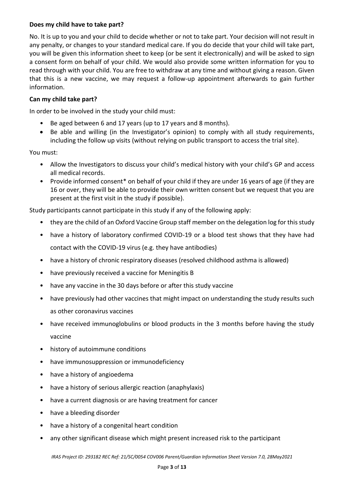#### **Does my child have to take part?**

No. It is up to you and your child to decide whether or not to take part. Your decision will not result in any penalty, or changes to your standard medical care. If you do decide that your child will take part, you will be given this information sheet to keep (or be sent it electronically) and will be asked to sign a consent form on behalf of your child. We would also provide some written information for you to read through with your child. You are free to withdraw at any time and without giving a reason. Given that this is a new vaccine, we may request a follow-up appointment afterwards to gain further information.

#### **Can my child take part?**

In order to be involved in the study your child must:

- Be aged between 6 and 17 years (up to 17 years and 8 months).
- Be able and willing (in the Investigator's opinion) to comply with all study requirements, including the follow up visits (without relying on public transport to access the trial site).

You must:

- Allow the Investigators to discuss your child's medical history with your child's GP and access all medical records.
- Provide informed consent\* on behalf of your child if they are under 16 years of age (if they are 16 or over, they will be able to provide their own written consent but we request that you are present at the first visit in the study if possible).

Study participants cannot participate in this study if any of the following apply:

- they are the child of an Oxford Vaccine Group staff member on the delegation log for this study
- have a history of laboratory confirmed COVID-19 or a blood test shows that they have had contact with the COVID-19 virus (e.g. they have antibodies)
- have a history of chronic respiratory diseases (resolved childhood asthma is allowed)
- have previously received a vaccine for Meningitis B
- have any vaccine in the 30 days before or after this study vaccine
- have previously had other vaccines that might impact on understanding the study results such as other coronavirus vaccines
- have received immunoglobulins or blood products in the 3 months before having the study vaccine
- history of autoimmune conditions
- have immunosuppression or immunodeficiency
- have a history of angioedema
- have a history of serious allergic reaction (anaphylaxis)
- have a current diagnosis or are having treatment for cancer
- have a bleeding disorder
- have a history of a congenital heart condition
- any other significant disease which might present increased risk to the participant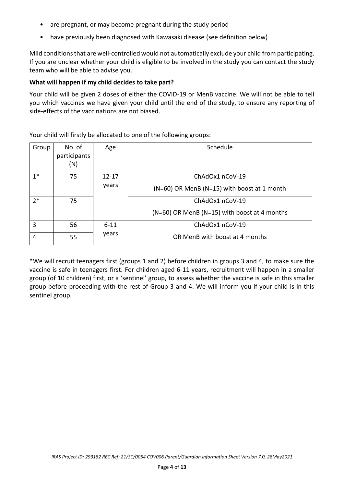- are pregnant, or may become pregnant during the study period
- have previously been diagnosed with Kawasaki disease (see definition below)

Mild conditions that are well-controlled would not automatically exclude your child from participating. If you are unclear whether your child is eligible to be involved in the study you can contact the study team who will be able to advise you.

#### **What will happen if my child decides to take part?**

Your child will be given 2 doses of either the COVID-19 or MenB vaccine. We will not be able to tell you which vaccines we have given your child until the end of the study, to ensure any reporting of side-effects of the vaccinations are not biased.

| Group | No. of<br>participants<br>(N) | Age       | Schedule                                     |  |  |  |  |
|-------|-------------------------------|-----------|----------------------------------------------|--|--|--|--|
| $1*$  | 75                            | $12 - 17$ | ChAdOx1 nCoV-19                              |  |  |  |  |
|       |                               | years     | (N=60) OR MenB (N=15) with boost at 1 month  |  |  |  |  |
| $2*$  | 75                            |           | ChAdOx1 nCoV-19                              |  |  |  |  |
|       |                               |           | (N=60) OR MenB (N=15) with boost at 4 months |  |  |  |  |
| 3     | 56                            | $6 - 11$  | ChAdOx1 nCoV-19                              |  |  |  |  |
| 4     | 55                            | years     | OR MenB with boost at 4 months               |  |  |  |  |

Your child will firstly be allocated to one of the following groups:

\*We will recruit teenagers first (groups 1 and 2) before children in groups 3 and 4, to make sure the vaccine is safe in teenagers first. For children aged 6-11 years, recruitment will happen in a smaller group (of 10 children) first, or a 'sentinel' group, to assess whether the vaccine is safe in this smaller group before proceeding with the rest of Group 3 and 4. We will inform you if your child is in this sentinel group.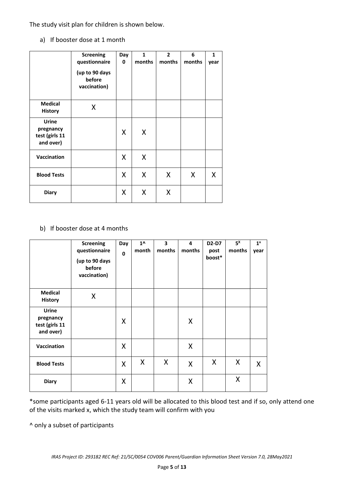The study visit plan for children is shown below.

a) If booster dose at 1 month

|                                                          | <b>Screening</b><br>questionnaire<br>(up to 90 days<br>before<br>vaccination) | Day<br>0 | $\mathbf{1}$<br>months | $\overline{2}$<br>months | 6<br>months | $\mathbf{1}$<br>year |
|----------------------------------------------------------|-------------------------------------------------------------------------------|----------|------------------------|--------------------------|-------------|----------------------|
| <b>Medical</b><br><b>History</b>                         | X                                                                             |          |                        |                          |             |                      |
| <b>Urine</b><br>pregnancy<br>test (girls 11<br>and over) |                                                                               | X        | X                      |                          |             |                      |
| Vaccination                                              |                                                                               | X        | X                      |                          |             |                      |
| <b>Blood Tests</b>                                       |                                                                               | X        | X                      | X                        | X           | X                    |
| <b>Diary</b>                                             |                                                                               | X        | X                      | X                        |             |                      |

## b) If booster dose at 4 months

|                                                          | <b>Screening</b><br>questionnaire<br>(up to 90 days<br>before<br>vaccination) | Day<br>$\mathbf 0$ | $1^{\wedge}$<br>month | $\overline{\mathbf{3}}$<br>months | 4<br>months | D2-D7<br>post<br>boost* | $5^x$<br>months | $1^x$<br>year |
|----------------------------------------------------------|-------------------------------------------------------------------------------|--------------------|-----------------------|-----------------------------------|-------------|-------------------------|-----------------|---------------|
| <b>Medical</b><br><b>History</b>                         | X                                                                             |                    |                       |                                   |             |                         |                 |               |
| <b>Urine</b><br>pregnancy<br>test (girls 11<br>and over) |                                                                               | X                  |                       |                                   | X           |                         |                 |               |
| Vaccination                                              |                                                                               | X                  |                       |                                   | X           |                         |                 |               |
| <b>Blood Tests</b>                                       |                                                                               | $\mathsf{X}$       | X                     | X                                 | X           | X                       | X               | X             |
| <b>Diary</b>                                             |                                                                               | X                  |                       |                                   | X           |                         | X               |               |

\*some participants aged 6-11 years old will be allocated to this blood test and if so, only attend one of the visits marked x, which the study team will confirm with you

^ only a subset of participants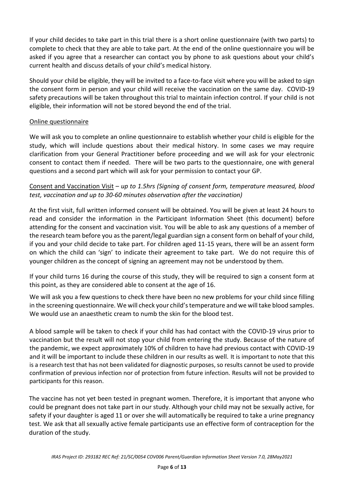If your child decides to take part in this trial there is a short online questionnaire (with two parts) to complete to check that they are able to take part. At the end of the online questionnaire you will be asked if you agree that a researcher can contact you by phone to ask questions about your child's current health and discuss details of your child's medical history.

Should your child be eligible, they will be invited to a face-to-face visit where you will be asked to sign the consent form in person and your child will receive the vaccination on the same day. COVID-19 safety precautions will be taken throughout this trial to maintain infection control. If your child is not eligible, their information will not be stored beyond the end of the trial.

#### Online questionnaire

We will ask you to complete an online questionnaire to establish whether your child is eligible for the study, which will include questions about their medical history. In some cases we may require clarification from your General Practitioner before proceeding and we will ask for your electronic consent to contact them if needed. There will be two parts to the questionnaire, one with general questions and a second part which will ask for your permission to contact your GP.

Consent and Vaccination Visit – *up to 1.5hrs (Signing of consent form, temperature measured, blood test, vaccination and up to 30-60 minutes observation after the vaccination)*

At the first visit, full written informed consent will be obtained. You will be given at least 24 hours to read and consider the information in the Participant Information Sheet (this document) before attending for the consent and vaccination visit. You will be able to ask any questions of a member of the research team before you as the parent/legal guardian sign a consent form on behalf of your child, if you and your child decide to take part. For children aged 11-15 years, there will be an assent form on which the child can 'sign' to indicate their agreement to take part. We do not require this of younger children as the concept of signing an agreement may not be understood by them.

If your child turns 16 during the course of this study, they will be required to sign a consent form at this point, as they are considered able to consent at the age of 16.

We will ask you a few questions to check there have been no new problems for your child since filling in the screening questionnaire. We will check your child's temperature and we will take blood samples. We would use an anaesthetic cream to numb the skin for the blood test.

A blood sample will be taken to check if your child has had contact with the COVID-19 virus prior to vaccination but the result will not stop your child from entering the study. Because of the nature of the pandemic, we expect approximately 10% of children to have had previous contact with COVID-19 and it will be important to include these children in our results as well. It is important to note that this is a research test that has not been validated for diagnostic purposes, so results cannot be used to provide confirmation of previous infection nor of protection from future infection. Results will not be provided to participants for this reason.

The vaccine has not yet been tested in pregnant women. Therefore, it is important that anyone who could be pregnant does not take part in our study. Although your child may not be sexually active, for safety if your daughter is aged 11 or over she will automatically be required to take a urine pregnancy test. We ask that all sexually active female participants use an effective form of contraception for the duration of the study.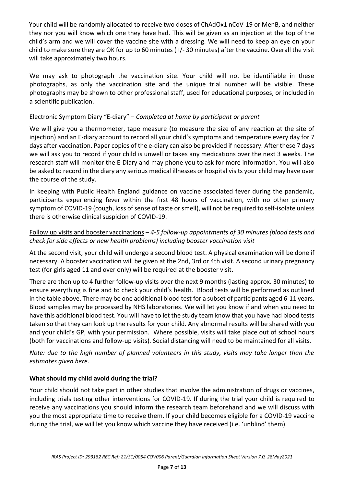Your child will be randomly allocated to receive two doses of ChAdOx1 nCoV-19 or MenB, and neither they nor you will know which one they have had. This will be given as an injection at the top of the child's arm and we will cover the vaccine site with a dressing. We will need to keep an eye on your child to make sure they are OK for up to 60 minutes (+/- 30 minutes) after the vaccine. Overall the visit will take approximately two hours.

We may ask to photograph the vaccination site. Your child will not be identifiable in these photographs, as only the vaccination site and the unique trial number will be visible. These photographs may be shown to other professional staff, used for educational purposes, or included in a scientific publication.

### Electronic Symptom Diary "E-diary" – *Completed at home by participant or parent*

We will give you a thermometer, tape measure (to measure the size of any reaction at the site of injection) and an E-diary account to record all your child's symptoms and temperature every day for 7 days after vaccination. Paper copies of the e-diary can also be provided if necessary. After these 7 days we will ask you to record if your child is unwell or takes any medications over the next 3 weeks. The research staff will monitor the E-Diary and may phone you to ask for more information. You will also be asked to record in the diary any serious medical illnesses or hospital visits your child may have over the course of the study.

In keeping with Public Health England guidance on vaccine associated fever during the pandemic, participants experiencing fever within the first 48 hours of vaccination, with no other primary symptom of COVID-19 (cough, loss of sense of taste or smell), will not be required to self-isolate unless there is otherwise clinical suspicion of COVID-19.

### Follow up visits and booster vaccinations *– 4-5 follow-up appointments of 30 minutes (blood tests and check for side effects or new health problems) including booster vaccination visit*

At the second visit, your child will undergo a second blood test. A physical examination will be done if necessary. A booster vaccination will be given at the 2nd, 3rd or 4th visit. A second urinary pregnancy test (for girls aged 11 and over only) will be required at the booster visit.

There are then up to 4 further follow-up visits over the next 9 months (lasting approx. 30 minutes) to ensure everything is fine and to check your child's health. Blood tests will be performed as outlined in the table above. There may be one additional blood test for a subset of participants aged 6-11 years. Blood samples may be processed by NHS laboratories. We will let you know if and when you need to have this additional blood test. You will have to let the study team know that you have had blood tests taken so that they can look up the results for your child. Any abnormal results will be shared with you and your child's GP, with your permission. Where possible, visits will take place out of school hours (both for vaccinations and follow-up visits). Social distancing will need to be maintained for all visits.

*Note: due to the high number of planned volunteers in this study, visits may take longer than the estimates given here.*

#### **What should my child avoid during the trial?**

Your child should not take part in other studies that involve the administration of drugs or vaccines, including trials testing other interventions for COVID-19. If during the trial your child is required to receive any vaccinations you should inform the research team beforehand and we will discuss with you the most appropriate time to receive them. If your child becomes eligible for a COVID-19 vaccine during the trial, we will let you know which vaccine they have received (i.e. 'unblind' them).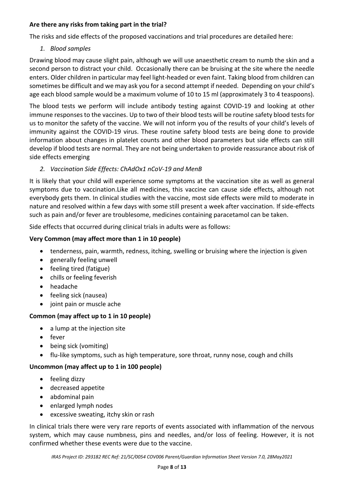### **Are there any risks from taking part in the trial?**

The risks and side effects of the proposed vaccinations and trial procedures are detailed here:

*1. Blood samples*

Drawing blood may cause slight pain, although we will use anaesthetic cream to numb the skin and a second person to distract your child. Occasionally there can be bruising at the site where the needle enters. Older children in particular may feel light-headed or even faint. Taking blood from children can sometimes be difficult and we may ask you for a second attempt if needed. Depending on your child's age each blood sample would be a maximum volume of 10 to 15 ml (approximately 3 to 4 teaspoons).

The blood tests we perform will include antibody testing against COVID-19 and looking at other immune responses to the vaccines. Up to two of their blood tests will be routine safety blood tests for us to monitor the safety of the vaccine. We will not inform you of the results of your child's levels of immunity against the COVID-19 virus. These routine safety blood tests are being done to provide information about changes in platelet counts and other blood parameters but side effects can still develop if blood tests are normal. They are not being undertaken to provide reassurance about risk of side effects emerging

# *2. Vaccination Side Effects: ChAdOx1 nCoV-19 and MenB*

It is likely that your child will experience some symptoms at the vaccination site as well as general symptoms due to vaccination.Like all medicines, this vaccine can cause side effects, although not everybody gets them. In clinical studies with the vaccine, most side effects were mild to moderate in nature and resolved within a few days with some still present a week after vaccination. If side-effects such as pain and/or fever are troublesome, medicines containing paracetamol can be taken.

Side effects that occurred during clinical trials in adults were as follows:

# **Very Common (may affect more than 1 in 10 people)**

- tenderness, pain, warmth, redness, itching, swelling or bruising where the injection is given
- generally feeling unwell
- feeling tired (fatigue)
- chills or feeling feverish
- headache
- feeling sick (nausea)
- joint pain or muscle ache

# **Common (may affect up to 1 in 10 people)**

- a lump at the injection site
- fever
- being sick (vomiting)
- flu-like symptoms, such as high temperature, sore throat, runny nose, cough and chills

# **Uncommon (may affect up to 1 in 100 people)**

- feeling dizzy
- decreased appetite
- abdominal pain
- enlarged lymph nodes
- excessive sweating, itchy skin or rash

In clinical trials there were very rare reports of events associated with inflammation of the nervous system, which may cause numbness, pins and needles, and/or loss of feeling. However, it is not confirmed whether these events were due to the vaccine.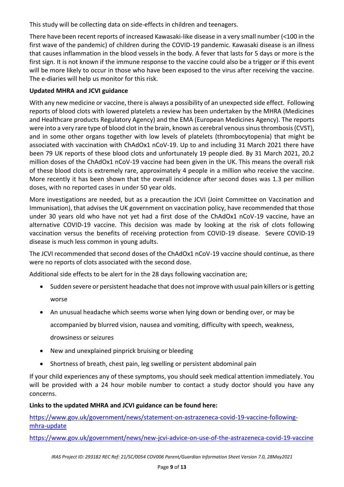This study will be collecting data on side-effects in children and teenagers.

There have been recent reports of increased Kawasaki-like disease in a very small number (<100 in the first wave of the pandemic) of children during the COVID-19 pandemic. Kawasaki disease is an illness that causes inflammation in the blood vessels in the body. A fever that lasts for 5 days or more is the first sign. It is not known if the immune response to the vaccine could also be a trigger or if this event will be more likely to occur in those who have been exposed to the virus after receiving the vaccine. The e-diaries will help us monitor for this risk.

# **Updated MHRA and JCVI guidance**

With any new medicine or vaccine, there is always a possibility of an unexpected side effect. Following reports of blood clots with lowered platelets a review has been undertaken by the MHRA (Medicines and Healthcare products Regulatory Agency) and the EMA (European Medicines Agency). The reports were into a very rare type of blood clot in the brain, known as cerebral venous sinus thrombosis (CVST), and in some other organs together with low levels of platelets (thrombocytopenia) that might be associated with vaccination with ChAdOx1 nCoV-19. Up to and including 31 March 2021 there have been 79 UK reports of these blood clots and unfortunately 19 people died. By 31 March 2021, 20.2 million doses of the ChAdOx1 nCoV-19 vaccine had been given in the UK. This means the overall risk of these blood clots is extremely rare, approximately 4 people in a million who receive the vaccine. More recently it has been shown that the overall incidence after second doses was 1.3 per million doses, with no reported cases in under 50 year olds.

More investigations are needed, but as a precaution the JCVI (Joint Committee on Vaccination and Immunisation), that advises the UK government on vaccination policy, have recommended that those under 30 years old who have not yet had a first dose of the ChAdOx1 nCoV-19 vaccine, have an alternative COVID-19 vaccine. This decision was made by looking at the risk of clots following vaccination versus the benefits of receiving protection from COVID-19 disease. Severe COVID-19 disease is much less common in young adults.

The JCVI recommended that second doses of the ChAdOx1 nCoV-19 vaccine should continue, as there were no reports of clots associated with the second dose.

Additional side effects to be alert for in the 28 days following vaccination are;

- Sudden severe or persistent headache that does not improve with usual pain killers or is getting worse
- An unusual headache which seems worse when lying down or bending over, or may be

accompanied by blurred vision, nausea and vomiting, difficulty with speech, weakness,

- drowsiness or seizures
- New and unexplained pinprick bruising or bleeding
- Shortness of breath, chest pain, leg swelling or persistent abdominal pain

If your child experiences any of these symptoms, you should seek medical attention immediately. You will be provided with a 24 hour mobile number to contact a study doctor should you have any concerns.

# **Links to the updated MHRA and JCVI guidance can be found here:**

[https://www.gov.uk/government/news/statement-on-astrazeneca-covid-19-vaccine-following](https://www.gov.uk/government/news/statement-on-astrazeneca-covid-19-vaccine-following-mhra-update)[mhra-update](https://www.gov.uk/government/news/statement-on-astrazeneca-covid-19-vaccine-following-mhra-update)

<https://www.gov.uk/government/news/new-jcvi-advice-on-use-of-the-astrazeneca-covid-19-vaccine>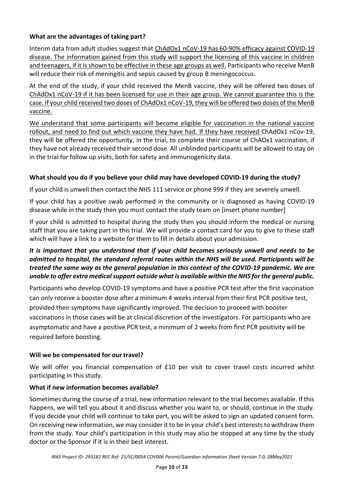## **What are the advantages of taking part?**

Interim data from adult studies suggest that ChAdOx1 nCoV-19 has 60-90% efficacy against COVID-19 disease. The information gained from this study will support the licensing of this vaccine in children and teenagers, if it is shown to be effective in these age groups as well. Participants who receive MenB will reduce their risk of meningitis and sepsis caused by group B meningococcus.

At the end of the study, if your child received the MenB vaccine, they will be offered two doses of ChAdOx1 nCoV-19 if it has been licensed for use in their age group. We cannot guarantee this is the case. If your child received two doses of ChAdOx1 nCoV-19, they will be offered two doses of the MenB vaccine.

We understand that some participants will become eligible for vaccination in the national vaccine rollout, and need to find out which vaccine they have had. If they have received ChAdOx1 nCov-19, they will be offered the opportunity, in the trial, to complete their course of ChAOx1 vaccination, if they have not already received their second dose. All unblinded participants will be allowed to stay on in the trial for follow up visits, both for safety and immunogenicity data.

## **What should you do if you believe your child may have developed COVID-19 during the study?**

If your child is unwell then contact the NHS 111 service or phone 999 if they are severely unwell.

If your child has a positive swab performed in the community or is diagnosed as having COVID-19 disease while in the study then you must contact the study team on [insert phone number]

If your child is admitted to hospital during the study then you should inform the medical or nursing staff that you are taking part in this trial. We will provide a contact card for you to give to these staff which will have a link to a website for them to fill in details about your admission.

# *It is important that you understand that if your child becomes seriously unwell and needs to be admitted to hospital, the standard referral routes within the NHS will be used. Participants will be treated the same way as the general population in this context of the COVID-19 pandemic. We are unable to offer extra medical support outside what is available within the NHS for the general public.*

Participants who develop COVID-19 symptoms and have a positive PCR test after the first vaccination can only receive a booster dose after a minimum 4 weeks interval from their first PCR positive test, provided their symptoms have significantly improved. The decision to proceed with booster vaccinations in those cases will be at clinical discretion of the investigators. For participants who are asymptomatic and have a positive PCR test, a minimum of 2 weeks from first PCR positivity will be required before boosting.

#### **Will we be compensated for our travel?**

We will offer you financial compensation of £10 per visit to cover travel costs incurred whilst participating in this study.

# **What if new information becomes available?**

Sometimes during the course of a trial, new information relevant to the trial becomes available. If this happens, we will tell you about it and discuss whether you want to, or should, continue in the study. If you decide your child will continue to take part, you will be asked to sign an updated consent form. On receiving new information, we may consider it to be in your child's best interests to withdraw them from the study. Your child's participation in this study may also be stopped at any time by the study doctor or the Sponsor if it is in their best interest.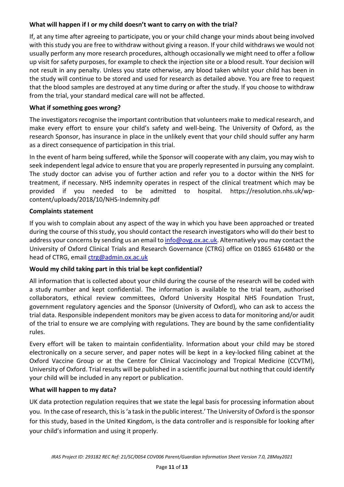## **What will happen if I or my child doesn't want to carry on with the trial?**

If, at any time after agreeing to participate, you or your child change your minds about being involved with this study you are free to withdraw without giving a reason. If your child withdraws we would not usually perform any more research procedures, although occasionally we might need to offer a follow up visit for safety purposes, for example to check the injection site or a blood result. Your decision will not result in any penalty. Unless you state otherwise, any blood taken whilst your child has been in the study will continue to be stored and used for research as detailed above. You are free to request that the blood samples are destroyed at any time during or after the study. If you choose to withdraw from the trial, your standard medical care will not be affected.

## **What if something goes wrong?**

The investigators recognise the important contribution that volunteers make to medical research, and make every effort to ensure your child's safety and well-being. The University of Oxford, as the research Sponsor, has insurance in place in the unlikely event that your child should suffer any harm as a direct consequence of participation in this trial.

In the event of harm being suffered, while the Sponsor will cooperate with any claim, you may wish to seek independent legal advice to ensure that you are properly represented in pursuing any complaint. The study doctor can advise you of further action and refer you to a doctor within the NHS for treatment, if necessary. NHS indemnity operates in respect of the clinical treatment which may be provided if you needed to be admitted to hospital. https://resolution.nhs.uk/wpcontent/uploads/2018/10/NHS-Indemnity.pdf

#### **Complaints statement**

If you wish to complain about any aspect of the way in which you have been approached or treated during the course of this study, you should contact the research investigators who will do their best to address your concerns by sending us an email t[o info@ovg.ox.ac.uk.](mailto:info@ovg.ox.ac.uk) Alternatively you may contact the University of Oxford Clinical Trials and Research Governance (CTRG) office on 01865 616480 or the head of CTRG, email [ctrg@admin.ox.ac.uk](mailto:ctrg@admin.ox.ac.uk)

#### **Would my child taking part in this trial be kept confidential?**

All information that is collected about your child during the course of the research will be coded with a study number and kept confidential. The information is available to the trial team, authorised collaborators, ethical review committees, Oxford University Hospital NHS Foundation Trust, government regulatory agencies and the Sponsor (University of Oxford), who can ask to access the trial data. Responsible independent monitors may be given access to data for monitoring and/or audit of the trial to ensure we are complying with regulations. They are bound by the same confidentiality rules.

Every effort will be taken to maintain confidentiality. Information about your child may be stored electronically on a secure server, and paper notes will be kept in a key-locked filing cabinet at the Oxford Vaccine Group or at the Centre for Clinical Vaccinology and Tropical Medicine (CCVTM), University of Oxford. Trial results will be published in a scientific journal but nothing that could identify your child will be included in any report or publication.

#### **What will happen to my data?**

UK data protection regulation requires that we state the legal basis for processing information about you. In the case of research, this is 'a task in the public interest.' The University of Oxford is the sponsor for this study, based in the United Kingdom, is the data controller and is responsible for looking after your child's information and using it properly.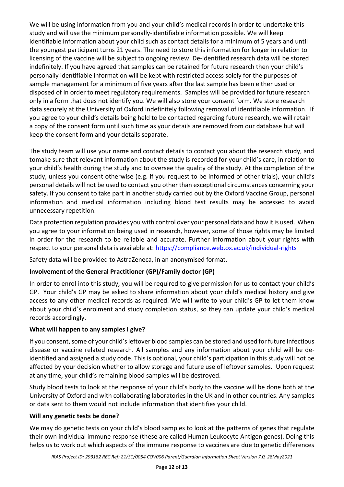We will be using information from you and your child's medical records in order to undertake this study and will use the minimum personally-identifiable information possible. We will keep identifiable information about your child such as contact details for a minimum of 5 years and until the youngest participant turns 21 years. The need to store this information for longer in relation to licensing of the vaccine will be subject to ongoing review. De-identified research data will be stored indefinitely. If you have agreed that samples can be retained for future research then your child's personally identifiable information will be kept with restricted access solely for the purposes of sample management for a minimum of five years after the last sample has been either used or disposed of in order to meet regulatory requirements. Samples will be provided for future research only in a form that does not identify you. We will also store your consent form. We store research data securely at the University of Oxford indefinitely following removal of identifiable information. If you agree to your child's details being held to be contacted regarding future research, we will retain a copy of the consent form until such time as your details are removed from our database but will keep the consent form and your details separate.

The study team will use your name and contact details to contact you about the research study, and tomake sure that relevant information about the study is recorded for your child's care, in relation to your child's health during the study and to oversee the quality of the study. At the completion of the study, unless you consent otherwise (e.g. if you request to be informed of other trials), your child's personal details will not be used to contact you other than exceptional circumstances concerning your safety. If you consent to take part in another study carried out by the Oxford Vaccine Group, personal information and medical information including blood test results may be accessed to avoid unnecessary repetition.

Data protection regulation provides you with control over your personal data and how it is used. When you agree to your information being used in research, however, some of those rights may be limited in order for the research to be reliable and accurate. Further information about your rights with respect to your personal data is available at: <https://compliance.web.ox.ac.uk/individual-rights>

Safety data will be provided to AstraZeneca, in an anonymised format.

# **Involvement of the General Practitioner (GP)/Family doctor (GP)**

In order to enrol into this study, you will be required to give permission for us to contact your child's GP. Your child's GP may be asked to share information about your child's medical history and give access to any other medical records as required. We will write to your child's GP to let them know about your child's enrolment and study completion status, so they can update your child's medical records accordingly.

# **What will happen to any samples I give?**

If you consent, some of your child's leftover blood samples can be stored and used for future infectious disease or vaccine related research. All samples and any information about your child will be deidentified and assigned a study code. This is optional, your child's participation in this study will not be affected by your decision whether to allow storage and future use of leftover samples. Upon request at any time, your child's remaining blood samples will be destroyed.

Study blood tests to look at the response of your child's body to the vaccine will be done both at the University of Oxford and with collaborating laboratories in the UK and in other countries. Any samples or data sent to them would not include information that identifies your child.

# **Will any genetic tests be done?**

We may do genetic tests on your child's blood samples to look at the patterns of genes that regulate their own individual immune response (these are called Human Leukocyte Antigen genes). Doing this helps us to work out which aspects of the immune response to vaccines are due to genetic differences